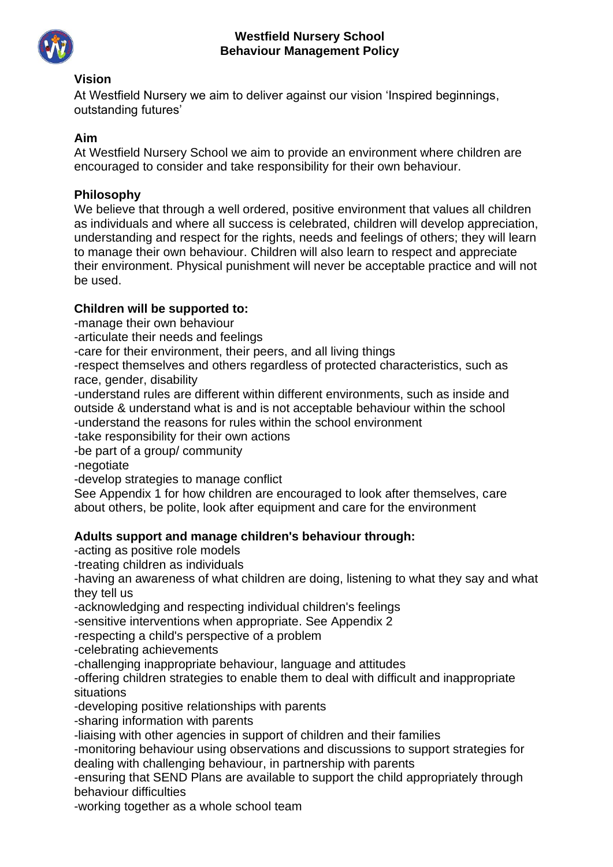

### **Vision**

At Westfield Nursery we aim to deliver against our vision 'Inspired beginnings, outstanding futures'

### **Aim**

At Westfield Nursery School we aim to provide an environment where children are encouraged to consider and take responsibility for their own behaviour.

#### **Philosophy**

We believe that through a well ordered, positive environment that values all children as individuals and where all success is celebrated, children will develop appreciation, understanding and respect for the rights, needs and feelings of others; they will learn to manage their own behaviour. Children will also learn to respect and appreciate their environment. Physical punishment will never be acceptable practice and will not be used.

### **Children will be supported to:**

-manage their own behaviour

-articulate their needs and feelings

-care for their environment, their peers, and all living things

-respect themselves and others regardless of protected characteristics, such as race, gender, disability

-understand rules are different within different environments, such as inside and outside & understand what is and is not acceptable behaviour within the school -understand the reasons for rules within the school environment

-take responsibility for their own actions

-be part of a group/ community

-negotiate

-develop strategies to manage conflict

See Appendix 1 for how children are encouraged to look after themselves, care about others, be polite, look after equipment and care for the environment

#### **Adults support and manage children's behaviour through:**

-acting as positive role models

-treating children as individuals

-having an awareness of what children are doing, listening to what they say and what they tell us

-acknowledging and respecting individual children's feelings

-sensitive interventions when appropriate. See Appendix 2

-respecting a child's perspective of a problem

-celebrating achievements

-challenging inappropriate behaviour, language and attitudes

-offering children strategies to enable them to deal with difficult and inappropriate situations

-developing positive relationships with parents

-sharing information with parents

-liaising with other agencies in support of children and their families

-monitoring behaviour using observations and discussions to support strategies for dealing with challenging behaviour, in partnership with parents

-ensuring that SEND Plans are available to support the child appropriately through behaviour difficulties

-working together as a whole school team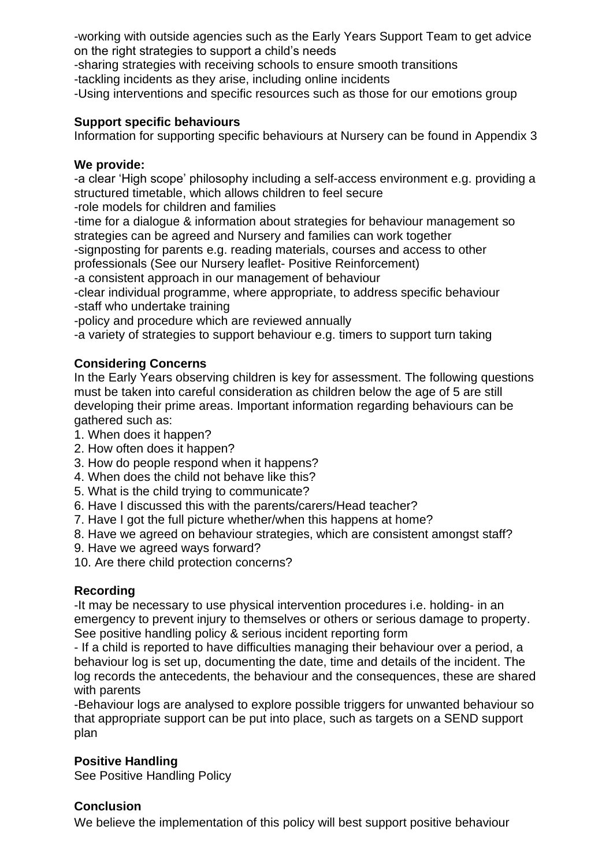-working with outside agencies such as the Early Years Support Team to get advice on the right strategies to support a child's needs

-sharing strategies with receiving schools to ensure smooth transitions

-tackling incidents as they arise, including online incidents

-Using interventions and specific resources such as those for our emotions group

## **Support specific behaviours**

Information for supporting specific behaviours at Nursery can be found in Appendix 3

## **We provide:**

-a clear 'High scope' philosophy including a self-access environment e.g. providing a structured timetable, which allows children to feel secure

-role models for children and families

-time for a dialogue & information about strategies for behaviour management so strategies can be agreed and Nursery and families can work together

-signposting for parents e.g. reading materials, courses and access to other professionals (See our Nursery leaflet- Positive Reinforcement)

-a consistent approach in our management of behaviour

-clear individual programme, where appropriate, to address specific behaviour -staff who undertake training

-policy and procedure which are reviewed annually

-a variety of strategies to support behaviour e.g. timers to support turn taking

# **Considering Concerns**

In the Early Years observing children is key for assessment. The following questions must be taken into careful consideration as children below the age of 5 are still developing their prime areas. Important information regarding behaviours can be gathered such as:

- 1. When does it happen?
- 2. How often does it happen?
- 3. How do people respond when it happens?
- 4. When does the child not behave like this?
- 5. What is the child trying to communicate?
- 6. Have I discussed this with the parents/carers/Head teacher?
- 7. Have I got the full picture whether/when this happens at home?
- 8. Have we agreed on behaviour strategies, which are consistent amongst staff?
- 9. Have we agreed ways forward?
- 10. Are there child protection concerns?

# **Recording**

-It may be necessary to use physical intervention procedures i.e. holding- in an emergency to prevent injury to themselves or others or serious damage to property. See positive handling policy & serious incident reporting form

- If a child is reported to have difficulties managing their behaviour over a period, a behaviour log is set up, documenting the date, time and details of the incident. The log records the antecedents, the behaviour and the consequences, these are shared with parents

-Behaviour logs are analysed to explore possible triggers for unwanted behaviour so that appropriate support can be put into place, such as targets on a SEND support plan

# **Positive Handling**

See Positive Handling Policy

# **Conclusion**

We believe the implementation of this policy will best support positive behaviour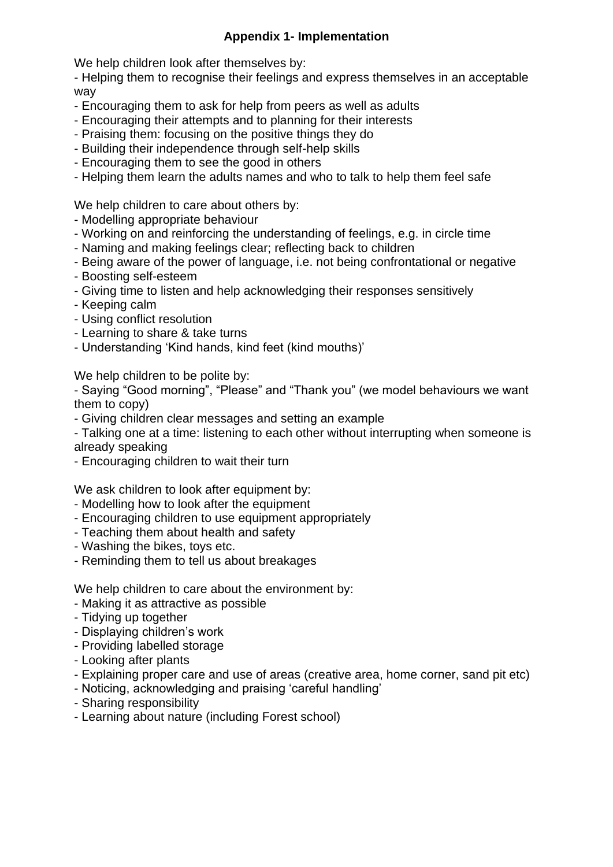## **Appendix 1- Implementation**

We help children look after themselves by:

- Helping them to recognise their feelings and express themselves in an acceptable way

- Encouraging them to ask for help from peers as well as adults
- Encouraging their attempts and to planning for their interests
- Praising them: focusing on the positive things they do
- Building their independence through self-help skills
- Encouraging them to see the good in others
- Helping them learn the adults names and who to talk to help them feel safe

We help children to care about others by:

- Modelling appropriate behaviour
- Working on and reinforcing the understanding of feelings, e.g. in circle time
- Naming and making feelings clear; reflecting back to children
- Being aware of the power of language, i.e. not being confrontational or negative
- Boosting self-esteem
- Giving time to listen and help acknowledging their responses sensitively
- Keeping calm
- Using conflict resolution
- Learning to share & take turns
- Understanding 'Kind hands, kind feet (kind mouths)'

We help children to be polite by:

- Saying "Good morning", "Please" and "Thank you" (we model behaviours we want them to copy)

- Giving children clear messages and setting an example

- Talking one at a time: listening to each other without interrupting when someone is already speaking

- Encouraging children to wait their turn

We ask children to look after equipment by:

- Modelling how to look after the equipment
- Encouraging children to use equipment appropriately
- Teaching them about health and safety
- Washing the bikes, toys etc.
- Reminding them to tell us about breakages

We help children to care about the environment by:

- Making it as attractive as possible
- Tidying up together
- Displaying children's work
- Providing labelled storage
- Looking after plants
- Explaining proper care and use of areas (creative area, home corner, sand pit etc)
- Noticing, acknowledging and praising 'careful handling'
- Sharing responsibility
- Learning about nature (including Forest school)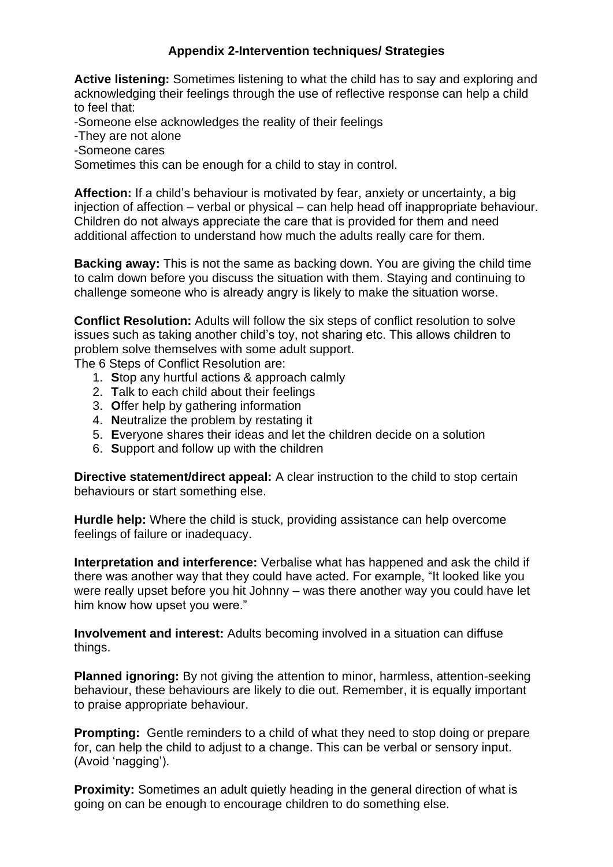## **Appendix 2-Intervention techniques/ Strategies**

**Active listening:** Sometimes listening to what the child has to say and exploring and acknowledging their feelings through the use of reflective response can help a child to feel that:

-Someone else acknowledges the reality of their feelings

-They are not alone

-Someone cares

Sometimes this can be enough for a child to stay in control.

**Affection:** If a child's behaviour is motivated by fear, anxiety or uncertainty, a big injection of affection – verbal or physical – can help head off inappropriate behaviour. Children do not always appreciate the care that is provided for them and need additional affection to understand how much the adults really care for them.

**Backing away:** This is not the same as backing down. You are giving the child time to calm down before you discuss the situation with them. Staying and continuing to challenge someone who is already angry is likely to make the situation worse.

**Conflict Resolution:** Adults will follow the six steps of conflict resolution to solve issues such as taking another child's toy, not sharing etc. This allows children to problem solve themselves with some adult support.

The 6 Steps of Conflict Resolution are:

- 1. **S**top any hurtful actions & approach calmly
- 2. **T**alk to each child about their feelings
- 3. **O**ffer help by gathering information
- 4. **N**eutralize the problem by restating it
- 5. **E**veryone shares their ideas and let the children decide on a solution
- 6. **S**upport and follow up with the children

**Directive statement/direct appeal:** A clear instruction to the child to stop certain behaviours or start something else.

**Hurdle help:** Where the child is stuck, providing assistance can help overcome feelings of failure or inadequacy.

**Interpretation and interference:** Verbalise what has happened and ask the child if there was another way that they could have acted. For example, "It looked like you were really upset before you hit Johnny – was there another way you could have let him know how upset you were."

**Involvement and interest:** Adults becoming involved in a situation can diffuse things.

**Planned ignoring:** By not giving the attention to minor, harmless, attention-seeking behaviour, these behaviours are likely to die out. Remember, it is equally important to praise appropriate behaviour.

**Prompting:** Gentle reminders to a child of what they need to stop doing or prepare for, can help the child to adjust to a change. This can be verbal or sensory input. (Avoid 'nagging').

**Proximity:** Sometimes an adult quietly heading in the general direction of what is going on can be enough to encourage children to do something else.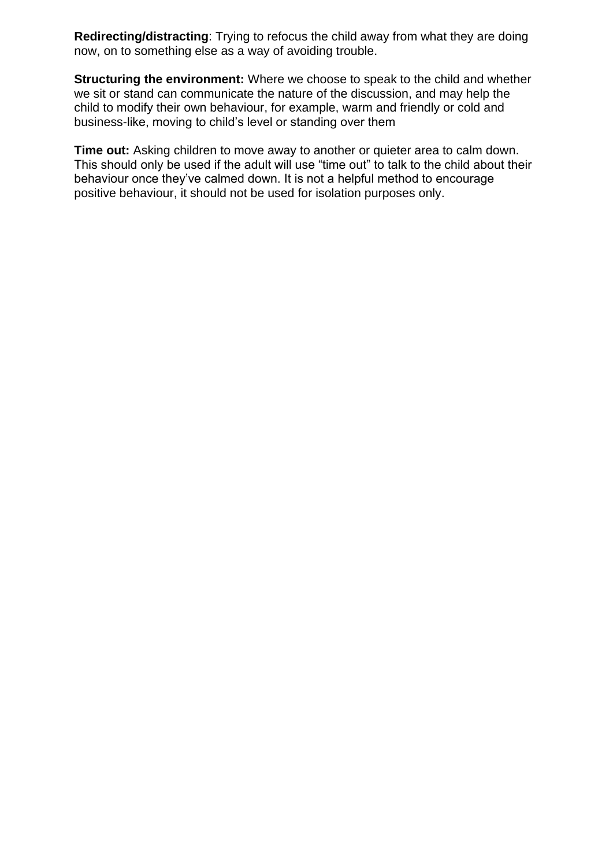**Redirecting/distracting**: Trying to refocus the child away from what they are doing now, on to something else as a way of avoiding trouble.

**Structuring the environment:** Where we choose to speak to the child and whether we sit or stand can communicate the nature of the discussion, and may help the child to modify their own behaviour, for example, warm and friendly or cold and business-like, moving to child's level or standing over them

**Time out:** Asking children to move away to another or quieter area to calm down. This should only be used if the adult will use "time out" to talk to the child about their behaviour once they've calmed down. It is not a helpful method to encourage positive behaviour, it should not be used for isolation purposes only.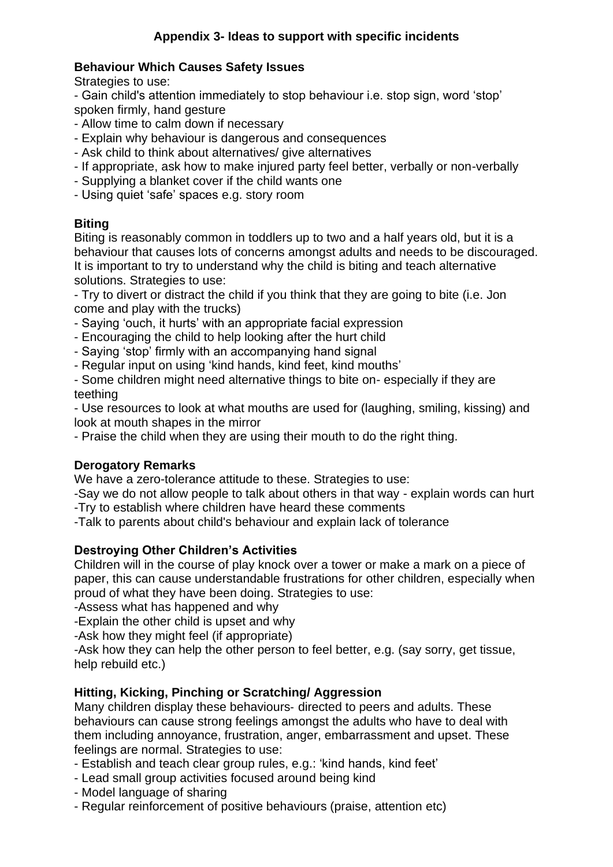## **Behaviour Which Causes Safety Issues**

Strategies to use:

- Gain child's attention immediately to stop behaviour i.e. stop sign, word 'stop' spoken firmly, hand gesture

- Allow time to calm down if necessary
- Explain why behaviour is dangerous and consequences
- Ask child to think about alternatives/ give alternatives
- If appropriate, ask how to make injured party feel better, verbally or non-verbally
- Supplying a blanket cover if the child wants one
- Using quiet 'safe' spaces e.g. story room

## **Biting**

Biting is reasonably common in toddlers up to two and a half years old, but it is a behaviour that causes lots of concerns amongst adults and needs to be discouraged. It is important to try to understand why the child is biting and teach alternative solutions. Strategies to use:

- Try to divert or distract the child if you think that they are going to bite (i.e. Jon come and play with the trucks)

- Saying 'ouch, it hurts' with an appropriate facial expression
- Encouraging the child to help looking after the hurt child
- Saying 'stop' firmly with an accompanying hand signal
- Regular input on using 'kind hands, kind feet, kind mouths'

- Some children might need alternative things to bite on- especially if they are teething

- Use resources to look at what mouths are used for (laughing, smiling, kissing) and look at mouth shapes in the mirror

- Praise the child when they are using their mouth to do the right thing.

## **Derogatory Remarks**

We have a zero-tolerance attitude to these. Strategies to use:

-Say we do not allow people to talk about others in that way - explain words can hurt

-Try to establish where children have heard these comments

-Talk to parents about child's behaviour and explain lack of tolerance

## **Destroying Other Children's Activities**

Children will in the course of play knock over a tower or make a mark on a piece of paper, this can cause understandable frustrations for other children, especially when proud of what they have been doing. Strategies to use:

-Assess what has happened and why

-Explain the other child is upset and why

-Ask how they might feel (if appropriate)

-Ask how they can help the other person to feel better, e.g. (say sorry, get tissue, help rebuild etc.)

## **Hitting, Kicking, Pinching or Scratching/ Aggression**

Many children display these behaviours‐ directed to peers and adults. These behaviours can cause strong feelings amongst the adults who have to deal with them including annoyance, frustration, anger, embarrassment and upset. These feelings are normal. Strategies to use:

- Establish and teach clear group rules, e.g.: 'kind hands, kind feet'
- Lead small group activities focused around being kind
- Model language of sharing
- Regular reinforcement of positive behaviours (praise, attention etc)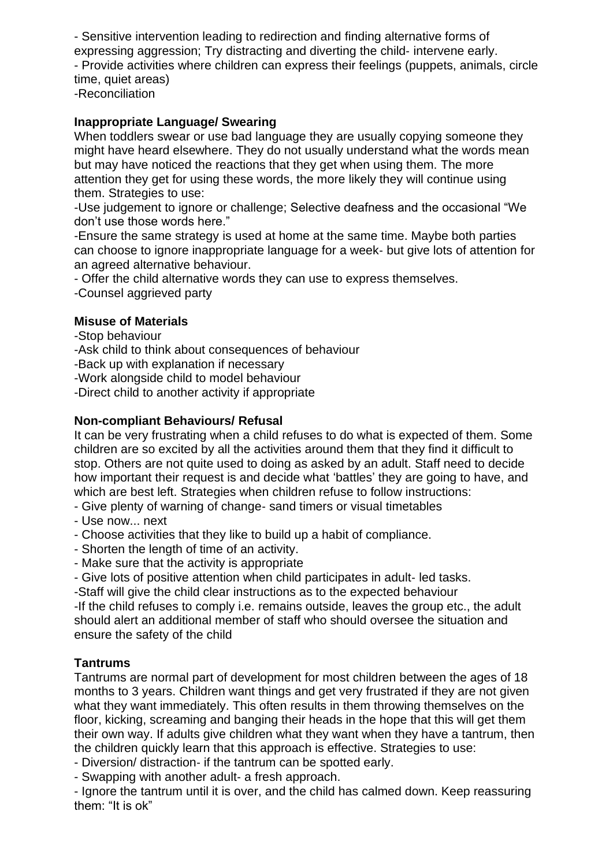- Sensitive intervention leading to redirection and finding alternative forms of expressing aggression; Try distracting and diverting the child‐ intervene early. - Provide activities where children can express their feelings (puppets, animals, circle time, quiet areas) -Reconciliation

### **Inappropriate Language/ Swearing**

When toddlers swear or use bad language they are usually copying someone they might have heard elsewhere. They do not usually understand what the words mean but may have noticed the reactions that they get when using them. The more attention they get for using these words, the more likely they will continue using them. Strategies to use:

-Use judgement to ignore or challenge; Selective deafness and the occasional "We don't use those words here."

-Ensure the same strategy is used at home at the same time. Maybe both parties can choose to ignore inappropriate language for a week‐ but give lots of attention for an agreed alternative behaviour.

- Offer the child alternative words they can use to express themselves.

-Counsel aggrieved party

#### **Misuse of Materials**

-Stop behaviour

-Ask child to think about consequences of behaviour

-Back up with explanation if necessary

-Work alongside child to model behaviour

-Direct child to another activity if appropriate

#### **Non-compliant Behaviours/ Refusal**

It can be very frustrating when a child refuses to do what is expected of them. Some children are so excited by all the activities around them that they find it difficult to stop. Others are not quite used to doing as asked by an adult. Staff need to decide how important their request is and decide what 'battles' they are going to have, and which are best left. Strategies when children refuse to follow instructions:

- Give plenty of warning of change‐ sand timers or visual timetables

- Use now... next
- Choose activities that they like to build up a habit of compliance.
- Shorten the length of time of an activity.
- Make sure that the activity is appropriate
- Give lots of positive attention when child participates in adult‐ led tasks.
- -Staff will give the child clear instructions as to the expected behaviour

-If the child refuses to comply i.e. remains outside, leaves the group etc., the adult should alert an additional member of staff who should oversee the situation and ensure the safety of the child

#### **Tantrums**

Tantrums are normal part of development for most children between the ages of 18 months to 3 years. Children want things and get very frustrated if they are not given what they want immediately. This often results in them throwing themselves on the floor, kicking, screaming and banging their heads in the hope that this will get them their own way. If adults give children what they want when they have a tantrum, then the children quickly learn that this approach is effective. Strategies to use:

- Diversion/ distraction‐ if the tantrum can be spotted early.

- Swapping with another adult‐ a fresh approach.

- Ignore the tantrum until it is over, and the child has calmed down. Keep reassuring them: "It is ok"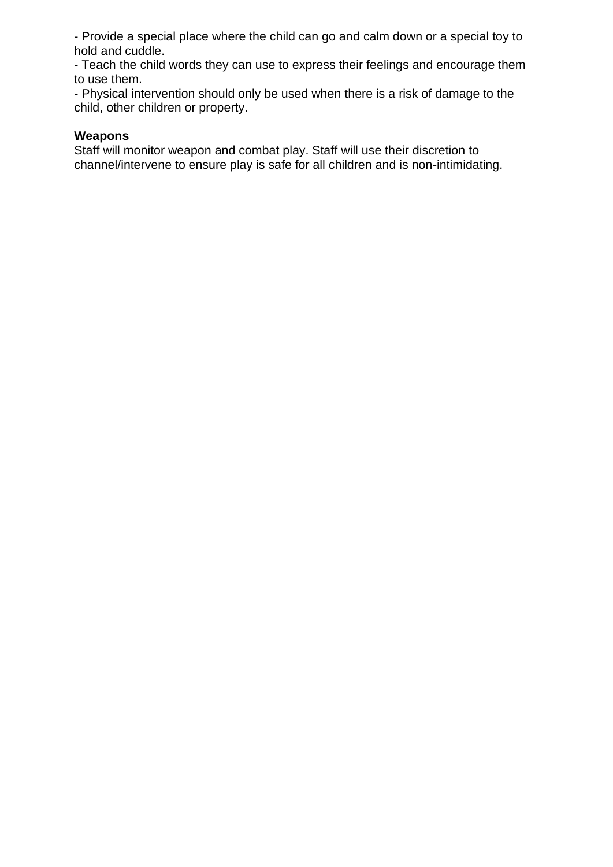- Provide a special place where the child can go and calm down or a special toy to hold and cuddle.

- Teach the child words they can use to express their feelings and encourage them to use them.

- Physical intervention should only be used when there is a risk of damage to the child, other children or property.

### **Weapons**

Staff will monitor weapon and combat play. Staff will use their discretion to channel/intervene to ensure play is safe for all children and is non-intimidating.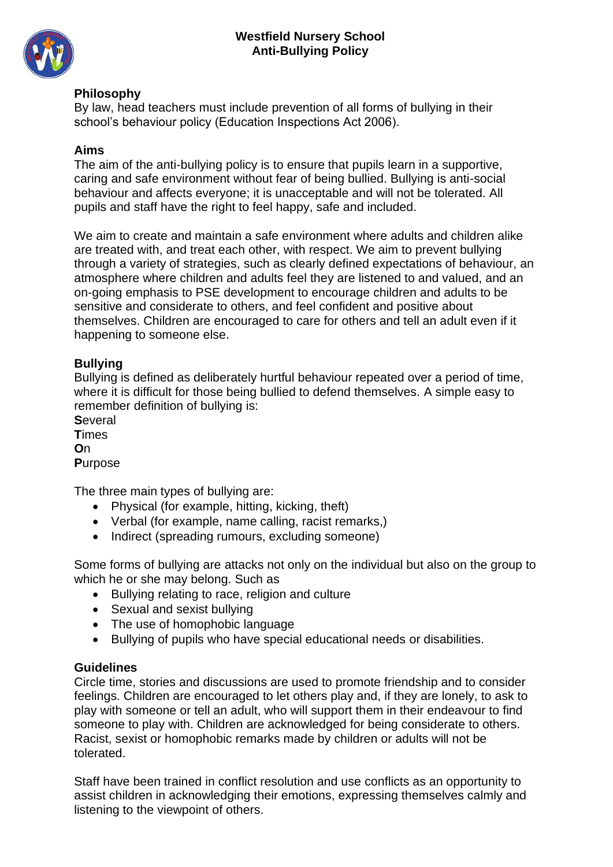

### **Philosophy**

By law, head teachers must include prevention of all forms of bullying in their school's behaviour policy (Education Inspections Act 2006).

#### **Aims**

The aim of the anti-bullying policy is to ensure that pupils learn in a supportive, caring and safe environment without fear of being bullied. Bullying is anti-social behaviour and affects everyone; it is unacceptable and will not be tolerated. All pupils and staff have the right to feel happy, safe and included.

We aim to create and maintain a safe environment where adults and children alike are treated with, and treat each other, with respect. We aim to prevent bullying through a variety of strategies, such as clearly defined expectations of behaviour, an atmosphere where children and adults feel they are listened to and valued, and an on-going emphasis to PSE development to encourage children and adults to be sensitive and considerate to others, and feel confident and positive about themselves. Children are encouraged to care for others and tell an adult even if it happening to someone else.

### **Bullying**

Bullying is defined as deliberately hurtful behaviour repeated over a period of time, where it is difficult for those being bullied to defend themselves. A simple easy to remember definition of bullying is:

**S**everal **T**imes **O**n **P**urpose

The three main types of bullying are:

- Physical (for example, hitting, kicking, theft)
- Verbal (for example, name calling, racist remarks,)
- Indirect (spreading rumours, excluding someone)

Some forms of bullying are attacks not only on the individual but also on the group to which he or she may belong. Such as

- Bullying relating to race, religion and culture
- Sexual and sexist bullying
- The use of homophobic language
- Bullying of pupils who have special educational needs or disabilities.

## **Guidelines**

Circle time, stories and discussions are used to promote friendship and to consider feelings. Children are encouraged to let others play and, if they are lonely, to ask to play with someone or tell an adult, who will support them in their endeavour to find someone to play with. Children are acknowledged for being considerate to others. Racist, sexist or homophobic remarks made by children or adults will not be tolerated.

Staff have been trained in conflict resolution and use conflicts as an opportunity to assist children in acknowledging their emotions, expressing themselves calmly and listening to the viewpoint of others.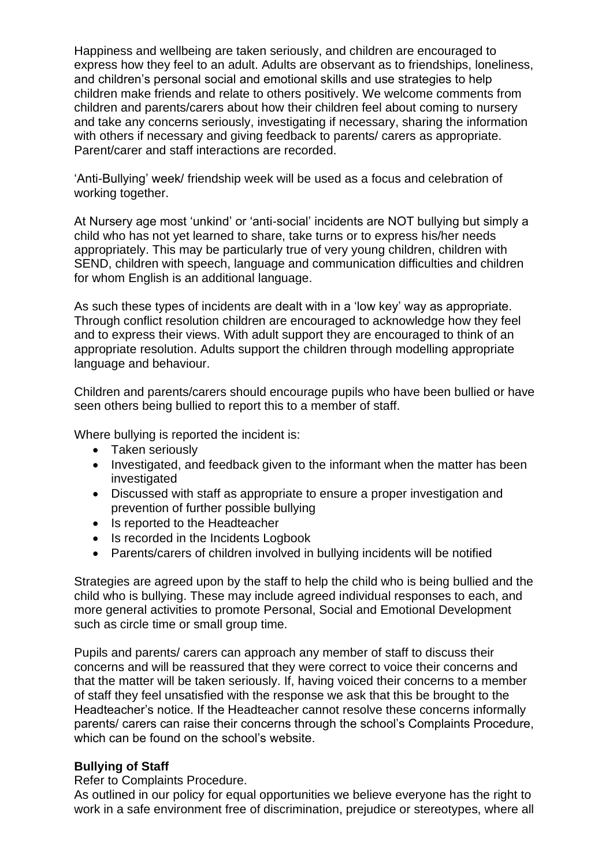Happiness and wellbeing are taken seriously, and children are encouraged to express how they feel to an adult. Adults are observant as to friendships, loneliness, and children's personal social and emotional skills and use strategies to help children make friends and relate to others positively. We welcome comments from children and parents/carers about how their children feel about coming to nursery and take any concerns seriously, investigating if necessary, sharing the information with others if necessary and giving feedback to parents/ carers as appropriate. Parent/carer and staff interactions are recorded.

'Anti-Bullying' week/ friendship week will be used as a focus and celebration of working together.

At Nursery age most 'unkind' or 'anti-social' incidents are NOT bullying but simply a child who has not yet learned to share, take turns or to express his/her needs appropriately. This may be particularly true of very young children, children with SEND, children with speech, language and communication difficulties and children for whom English is an additional language.

As such these types of incidents are dealt with in a 'low key' way as appropriate. Through conflict resolution children are encouraged to acknowledge how they feel and to express their views. With adult support they are encouraged to think of an appropriate resolution. Adults support the children through modelling appropriate language and behaviour.

Children and parents/carers should encourage pupils who have been bullied or have seen others being bullied to report this to a member of staff.

Where bullying is reported the incident is:

- Taken seriously
- Investigated, and feedback given to the informant when the matter has been investigated
- Discussed with staff as appropriate to ensure a proper investigation and prevention of further possible bullying
- Is reported to the Headteacher
- Is recorded in the Incidents Logbook
- Parents/carers of children involved in bullying incidents will be notified

Strategies are agreed upon by the staff to help the child who is being bullied and the child who is bullying. These may include agreed individual responses to each, and more general activities to promote Personal, Social and Emotional Development such as circle time or small group time.

Pupils and parents/ carers can approach any member of staff to discuss their concerns and will be reassured that they were correct to voice their concerns and that the matter will be taken seriously. If, having voiced their concerns to a member of staff they feel unsatisfied with the response we ask that this be brought to the Headteacher's notice. If the Headteacher cannot resolve these concerns informally parents/ carers can raise their concerns through the school's Complaints Procedure, which can be found on the school's website.

#### **Bullying of Staff**

Refer to Complaints Procedure.

As outlined in our policy for equal opportunities we believe everyone has the right to work in a safe environment free of discrimination, prejudice or stereotypes, where all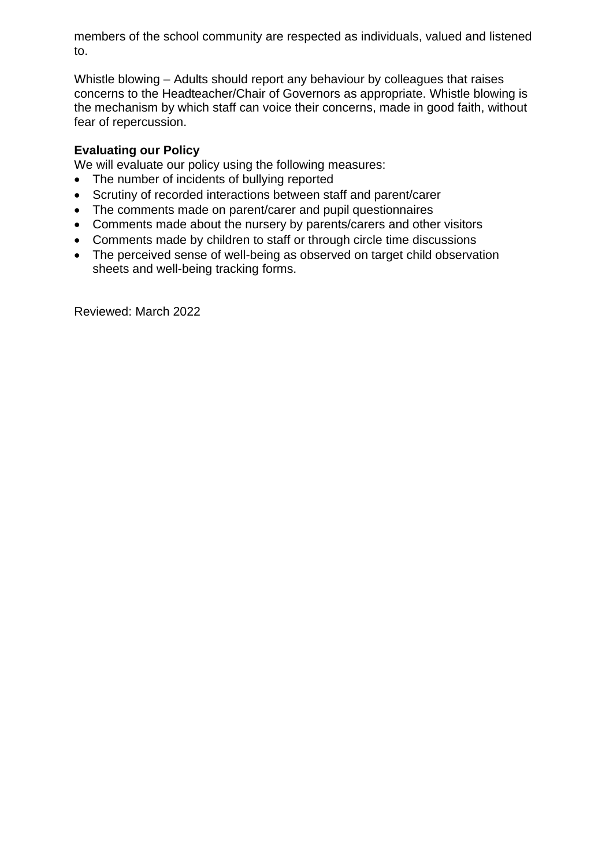members of the school community are respected as individuals, valued and listened to.

Whistle blowing – Adults should report any behaviour by colleagues that raises concerns to the Headteacher/Chair of Governors as appropriate. Whistle blowing is the mechanism by which staff can voice their concerns, made in good faith, without fear of repercussion.

## **Evaluating our Policy**

We will evaluate our policy using the following measures:

- The number of incidents of bullying reported
- Scrutiny of recorded interactions between staff and parent/carer
- The comments made on parent/carer and pupil questionnaires
- Comments made about the nursery by parents/carers and other visitors
- Comments made by children to staff or through circle time discussions
- The perceived sense of well-being as observed on target child observation sheets and well-being tracking forms.

Reviewed: March 2022